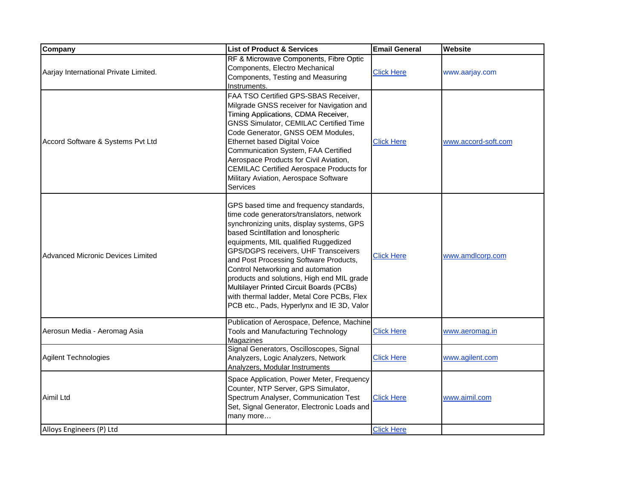| Company                               | <b>List of Product &amp; Services</b>                                                                                                                                                                                                                                                                                                                                                                                                                                                                                         | <b>Email General</b> | <b>Website</b>      |
|---------------------------------------|-------------------------------------------------------------------------------------------------------------------------------------------------------------------------------------------------------------------------------------------------------------------------------------------------------------------------------------------------------------------------------------------------------------------------------------------------------------------------------------------------------------------------------|----------------------|---------------------|
| Aarjay International Private Limited. | RF & Microwave Components, Fibre Optic<br>Components, Electro Mechanical<br>Components, Testing and Measuring<br>Instruments.                                                                                                                                                                                                                                                                                                                                                                                                 | <b>Click Here</b>    | www.aarjay.com      |
| Accord Software & Systems Pvt Ltd     | FAA TSO Certified GPS-SBAS Receiver,<br>Milgrade GNSS receiver for Navigation and<br>Timing Applications, CDMA Receiver,<br><b>GNSS Simulator, CEMILAC Certified Time</b><br>Code Generator, GNSS OEM Modules,<br><b>Ethernet based Digital Voice</b><br>Communication System, FAA Certified<br>Aerospace Products for Civil Aviation,<br><b>CEMILAC Certified Aerospace Products for</b><br>Military Aviation, Aerospace Software<br>Services                                                                                | <b>Click Here</b>    | www.accord-soft.com |
| Advanced Micronic Devices Limited     | GPS based time and frequency standards,<br>time code generators/translators, network<br>synchronizing units, display systems, GPS<br>based Scintillation and lonospheric<br>equipments, MIL qualified Ruggedized<br>GPS/DGPS receivers, UHF Transceivers<br>and Post Processing Software Products,<br>Control Networking and automation<br>products and solutions, High end MIL grade<br>Multilayer Printed Circuit Boards (PCBs)<br>with thermal ladder, Metal Core PCBs, Flex<br>PCB etc., Pads, Hyperlynx and IE 3D, Valor | <b>Click Here</b>    | www.amdlcorp.com    |
| Aerosun Media - Aeromag Asia          | Publication of Aerospace, Defence, Machine<br><b>Tools and Manufacturing Technology</b><br>Magazines                                                                                                                                                                                                                                                                                                                                                                                                                          | <b>Click Here</b>    | www.aeromag.in      |
| Agilent Technologies                  | Signal Generators, Oscilloscopes, Signal<br>Analyzers, Logic Analyzers, Network<br>Analyzers, Modular Instruments                                                                                                                                                                                                                                                                                                                                                                                                             | <b>Click Here</b>    | www.agilent.com     |
| Aimil Ltd                             | Space Application, Power Meter, Frequency<br>Counter, NTP Server, GPS Simulator,<br>Spectrum Analyser, Communication Test<br>Set, Signal Generator, Electronic Loads and<br>many more                                                                                                                                                                                                                                                                                                                                         | <b>Click Here</b>    | www.aimil.com       |
| Alloys Engineers (P) Ltd              |                                                                                                                                                                                                                                                                                                                                                                                                                                                                                                                               | <b>Click Here</b>    |                     |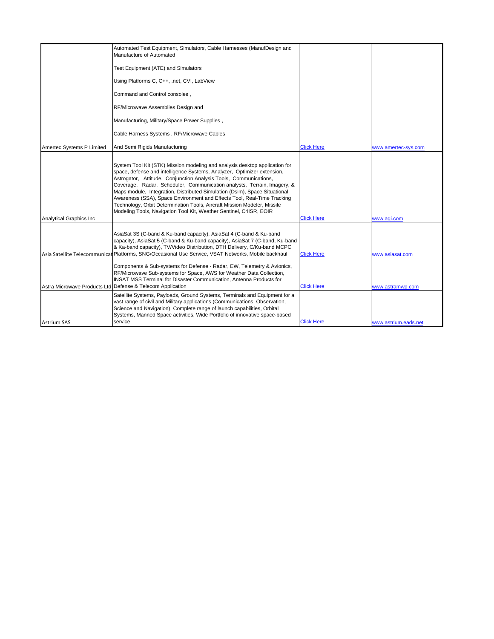|                                | Automated Test Equipment, Simulators, Cable Harnesses (ManufDesign and<br>Manufacture of Automated                                                                                                                                                                                                                                                                                                                                                                                                                                                                                                                |                   |                      |
|--------------------------------|-------------------------------------------------------------------------------------------------------------------------------------------------------------------------------------------------------------------------------------------------------------------------------------------------------------------------------------------------------------------------------------------------------------------------------------------------------------------------------------------------------------------------------------------------------------------------------------------------------------------|-------------------|----------------------|
|                                | Test Equipment (ATE) and Simulators                                                                                                                                                                                                                                                                                                                                                                                                                                                                                                                                                                               |                   |                      |
|                                | Using Platforms C, C++, .net, CVI, LabView                                                                                                                                                                                                                                                                                                                                                                                                                                                                                                                                                                        |                   |                      |
|                                | Command and Control consoles,                                                                                                                                                                                                                                                                                                                                                                                                                                                                                                                                                                                     |                   |                      |
|                                | RF/Microwave Assemblies Design and                                                                                                                                                                                                                                                                                                                                                                                                                                                                                                                                                                                |                   |                      |
|                                | Manufacturing, Military/Space Power Supplies,                                                                                                                                                                                                                                                                                                                                                                                                                                                                                                                                                                     |                   |                      |
|                                | Cable Harness Systems, RF/Microwave Cables                                                                                                                                                                                                                                                                                                                                                                                                                                                                                                                                                                        |                   |                      |
| Amertec Systems P Limited      | And Semi Rigids Manufacturing                                                                                                                                                                                                                                                                                                                                                                                                                                                                                                                                                                                     | <b>Click Here</b> | www.amertec-sys.com  |
| <b>Analytical Graphics Inc</b> | System Tool Kit (STK) Mission modeling and analysis desktop application for<br>space, defense and intelligence Systems, Analyzer, Optimizer extension,<br>Astrogator, Attitude, Conjunction Analysis Tools, Communications,<br>Coverage, Radar, Scheduler, Communication analysts, Terrain, Imagery, &<br>Maps module, Integration, Distributed Simulation (Dsim), Space Situational<br>Awareness (SSA), Space Environment and Effects Tool, Real-Time Tracking<br>Technology, Orbit Determination Tools, Aircraft Mission Modeler, Missile<br>Modeling Tools, Navigation Tool Kit, Weather Sentinel, C4ISR, EOIR | <b>Click Here</b> | www.agi.com          |
|                                | AsiaSat 3S (C-band & Ku-band capacity), AsiaSat 4 (C-band & Ku-band<br>capacity), AsiaSat 5 (C-band & Ku-band capacity), AsiaSat 7 (C-band, Ku-band<br>& Ka-band capacity), TV/Video Distribution, DTH Delivery, C/Ku-band MCPC<br>Asia Satellite Telecommunicat Platforms, SNG/Occasional Use Service, VSAT Networks, Mobile backhaul                                                                                                                                                                                                                                                                            | <b>Click Here</b> | www.asiasat.com      |
|                                | Components & Sub-systems for Defense - Radar, EW, Telemetry & Avionics,<br>RF/Microwave Sub-systems for Space, AWS for Weather Data Collection,<br><b>INSAT MSS Terminal for Disaster Communication, Antenna Products for</b><br>Astra Microwave Products Ltd Defense & Telecom Application                                                                                                                                                                                                                                                                                                                       | <b>Click Here</b> | www.astramwp.com     |
| Astrium SAS                    | Satellite Systems, Payloads, Ground Systems, Terminals and Equipment for a<br>vast range of civil and Military applications (Communications, Observation,<br>Science and Navigation), Complete range of launch capabilities, Orbital<br>Systems, Manned Space activities, Wide Portfolio of innovative space-based<br>service                                                                                                                                                                                                                                                                                     | <b>Click Here</b> | www.astrium.eads.net |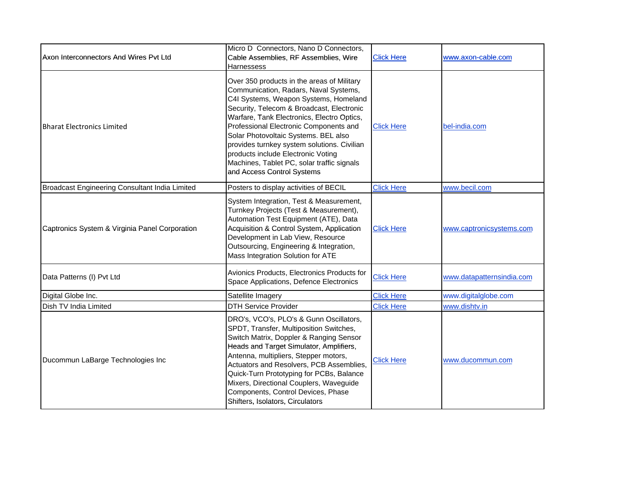| Axon Interconnectors And Wires Pvt Ltd         | Micro D Connectors, Nano D Connectors,<br>Cable Assemblies, RF Assemblies, Wire<br><b>Harnessess</b>                                                                                                                                                                                                                                                                                                                                                                       | <b>Click Here</b> | www.axon-cable.com        |
|------------------------------------------------|----------------------------------------------------------------------------------------------------------------------------------------------------------------------------------------------------------------------------------------------------------------------------------------------------------------------------------------------------------------------------------------------------------------------------------------------------------------------------|-------------------|---------------------------|
| <b>Bharat Electronics Limited</b>              | Over 350 products in the areas of Military<br>Communication, Radars, Naval Systems,<br>C4I Systems, Weapon Systems, Homeland<br>Security, Telecom & Broadcast, Electronic<br>Warfare, Tank Electronics, Electro Optics,<br>Professional Electronic Components and<br>Solar Photovoltaic Systems. BEL also<br>provides turnkey system solutions. Civilian<br>products include Electronic Voting<br>Machines, Tablet PC, solar traffic signals<br>and Access Control Systems | <b>Click Here</b> | bel-india.com             |
| Broadcast Engineering Consultant India Limited | Posters to display activities of BECIL                                                                                                                                                                                                                                                                                                                                                                                                                                     | <b>Click Here</b> | www.becil.com             |
| Captronics System & Virginia Panel Corporation | System Integration, Test & Measurement,<br>Turnkey Projects (Test & Measurement),<br>Automation Test Equipment (ATE), Data<br>Acquisition & Control System, Application<br>Development in Lab View, Resource<br>Outsourcing, Engineering & Integration,<br>Mass Integration Solution for ATE                                                                                                                                                                               | <b>Click Here</b> | www.captronicsystems.com  |
| Data Patterns (I) Pvt Ltd                      | Avionics Products, Electronics Products for<br>Space Applications, Defence Electronics                                                                                                                                                                                                                                                                                                                                                                                     | <b>Click Here</b> | www.datapatternsindia.com |
| Digital Globe Inc.                             | Satellite Imagery                                                                                                                                                                                                                                                                                                                                                                                                                                                          | <b>Click Here</b> | www.digitalglobe.com      |
| Dish TV India Limited                          | <b>DTH Service Provider</b>                                                                                                                                                                                                                                                                                                                                                                                                                                                | <b>Click Here</b> | www.dishtv.in             |
| Ducommun LaBarge Technologies Inc              | DRO's, VCO's, PLO's & Gunn Oscillators,<br>SPDT, Transfer, Multiposition Switches,<br>Switch Matrix, Doppler & Ranging Sensor<br>Heads and Target Simulator, Amplifiers,<br>Antenna, multipliers, Stepper motors,<br>Actuators and Resolvers, PCB Assemblies,<br>Quick-Turn Prototyping for PCBs, Balance<br>Mixers, Directional Couplers, Waveguide<br>Components, Control Devices, Phase<br>Shifters, Isolators, Circulators                                             | <b>Click Here</b> | www.ducommun.com          |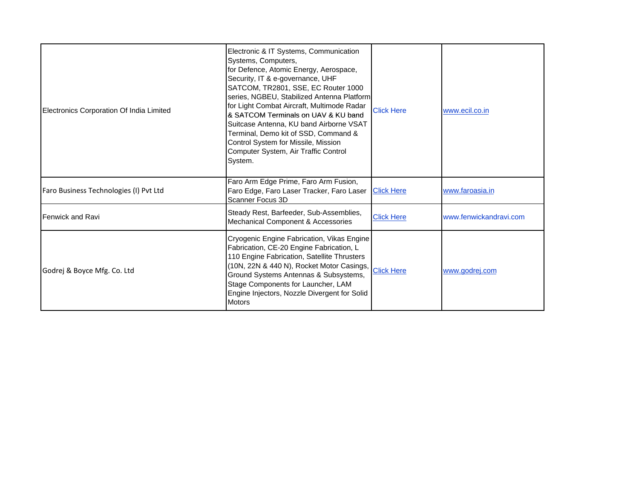| Electronics Corporation Of India Limited | Electronic & IT Systems, Communication<br>Systems, Computers,<br>for Defence, Atomic Energy, Aerospace,<br>Security, IT & e-governance, UHF<br>SATCOM, TR2801, SSE, EC Router 1000<br>series, NGBEU, Stabilized Antenna Platform<br>for Light Combat Aircraft, Multimode Radar<br>& SATCOM Terminals on UAV & KU band<br>Suitcase Antenna, KU band Airborne VSAT<br>Terminal, Demo kit of SSD, Command &<br>Control System for Missile, Mission<br>Computer System, Air Traffic Control<br>System. | <b>Click Here</b> | www.ecil.co.in         |
|------------------------------------------|----------------------------------------------------------------------------------------------------------------------------------------------------------------------------------------------------------------------------------------------------------------------------------------------------------------------------------------------------------------------------------------------------------------------------------------------------------------------------------------------------|-------------------|------------------------|
| Faro Business Technologies (I) Pvt Ltd   | Faro Arm Edge Prime, Faro Arm Fusion,<br>Faro Edge, Faro Laser Tracker, Faro Laser<br>Scanner Focus 3D                                                                                                                                                                                                                                                                                                                                                                                             | <b>Click Here</b> | www.faroasia.in        |
| Fenwick and Ravi                         | Steady Rest, Barfeeder, Sub-Assemblies,<br>Mechanical Component & Accessories                                                                                                                                                                                                                                                                                                                                                                                                                      | <b>Click Here</b> | www.fenwickandravi.com |
| Godrej & Boyce Mfg. Co. Ltd              | Cryogenic Engine Fabrication, Vikas Engine<br>Fabrication, CE-20 Engine Fabrication, L<br>110 Engine Fabrication, Satellite Thrusters<br>(10N, 22N & 440 N), Rocket Motor Casings, Click Here<br>Ground Systems Antennas & Subsystems,<br>Stage Components for Launcher, LAM<br>Engine Injectors, Nozzle Divergent for Solid<br><b>Motors</b>                                                                                                                                                      |                   | www.godrej.com         |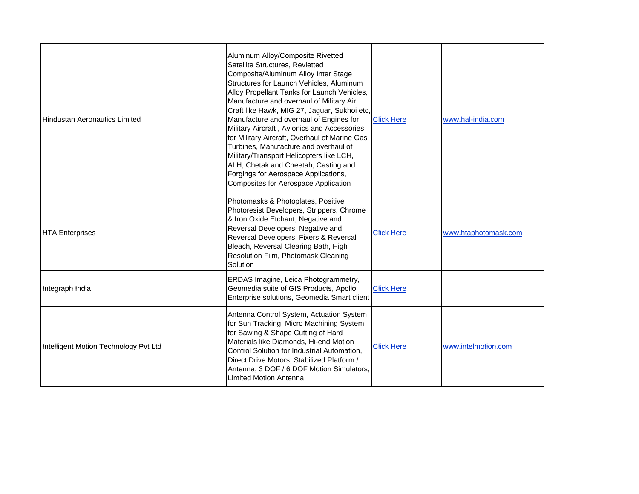| <b>Hindustan Aeronautics Limited</b>  | Aluminum Alloy/Composite Rivetted<br>Satellite Structures, Revietted<br>Composite/Aluminum Alloy Inter Stage<br>Structures for Launch Vehicles, Aluminum<br>Alloy Propellant Tanks for Launch Vehicles,<br>Manufacture and overhaul of Military Air<br>Craft like Hawk, MIG 27, Jaguar, Sukhoi etc,<br>Manufacture and overhaul of Engines for<br>Military Aircraft, Avionics and Accessories<br>for Military Aircraft, Overhaul of Marine Gas<br>Turbines, Manufacture and overhaul of<br>Military/Transport Helicopters like LCH,<br>ALH, Chetak and Cheetah, Casting and<br>Forgings for Aerospace Applications,<br>Composites for Aerospace Application | <b>Click Here</b> | www.hal-india.com    |
|---------------------------------------|-------------------------------------------------------------------------------------------------------------------------------------------------------------------------------------------------------------------------------------------------------------------------------------------------------------------------------------------------------------------------------------------------------------------------------------------------------------------------------------------------------------------------------------------------------------------------------------------------------------------------------------------------------------|-------------------|----------------------|
| <b>HTA Enterprises</b>                | Photomasks & Photoplates, Positive<br>Photoresist Developers, Strippers, Chrome<br>& Iron Oxide Etchant, Negative and<br>Reversal Developers, Negative and<br>Reversal Developers, Fixers & Reversal<br>Bleach, Reversal Clearing Bath, High<br>Resolution Film, Photomask Cleaning<br>Solution                                                                                                                                                                                                                                                                                                                                                             | <b>Click Here</b> | www.htaphotomask.com |
| Integraph India                       | ERDAS Imagine, Leica Photogrammetry,<br>Geomedia suite of GIS Products, Apollo<br>Enterprise solutions, Geomedia Smart client                                                                                                                                                                                                                                                                                                                                                                                                                                                                                                                               | <b>Click Here</b> |                      |
| Intelligent Motion Technology Pvt Ltd | Antenna Control System, Actuation System<br>for Sun Tracking, Micro Machining System<br>for Sawing & Shape Cutting of Hard<br>Materials like Diamonds, Hi-end Motion<br>Control Solution for Industrial Automation,<br>Direct Drive Motors, Stabilized Platform /<br>Antenna, 3 DOF / 6 DOF Motion Simulators,<br>Limited Motion Antenna                                                                                                                                                                                                                                                                                                                    | <b>Click Here</b> | www.intelmotion.com  |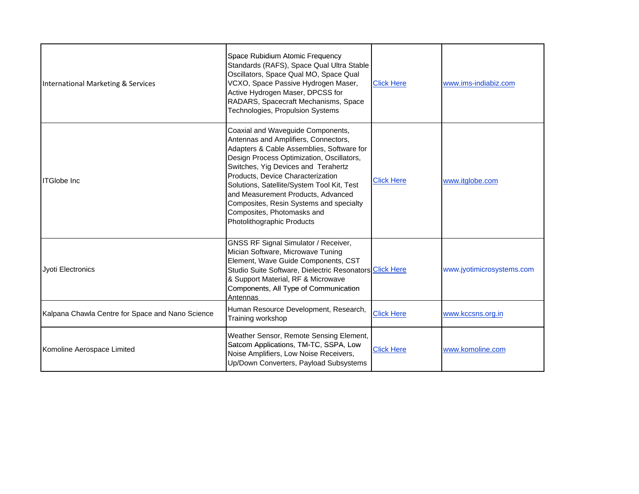| International Marketing & Services               | Space Rubidium Atomic Frequency<br>Standards (RAFS), Space Qual Ultra Stable<br>Oscillators, Space Qual MO, Space Qual<br>VCXO, Space Passive Hydrogen Maser,<br>Active Hydrogen Maser, DPCSS for<br>RADARS, Spacecraft Mechanisms, Space<br>Technologies, Propulsion Systems                                                                                                                                                              | <b>Click Here</b> | www.ims-indiabiz.com      |
|--------------------------------------------------|--------------------------------------------------------------------------------------------------------------------------------------------------------------------------------------------------------------------------------------------------------------------------------------------------------------------------------------------------------------------------------------------------------------------------------------------|-------------------|---------------------------|
| <b>ITGlobe Inc</b>                               | Coaxial and Waveguide Components,<br>Antennas and Amplifiers, Connectors,<br>Adapters & Cable Assemblies, Software for<br>Design Process Optimization, Oscillators,<br>Switches, Yig Devices and Terahertz<br>Products, Device Characterization<br>Solutions, Satellite/System Tool Kit, Test<br>and Measurement Products, Advanced<br>Composites, Resin Systems and specialty<br>Composites, Photomasks and<br>Photolithographic Products | <b>Click Here</b> | www.itglobe.com           |
| Jyoti Electronics                                | <b>GNSS RF Signal Simulator / Receiver,</b><br>Mician Software, Microwave Tuning<br>Element, Wave Guide Components, CST<br>Studio Suite Software, Dielectric Resonators Click Here<br>& Support Material, RF & Microwave<br>Components, All Type of Communication<br><b>Antennas</b>                                                                                                                                                       |                   | www.jyotimicrosystems.com |
| Kalpana Chawla Centre for Space and Nano Science | Human Resource Development, Research,<br>Training workshop                                                                                                                                                                                                                                                                                                                                                                                 | <b>Click Here</b> | www.kccsns.org.in         |
| Komoline Aerospace Limited                       | Weather Sensor, Remote Sensing Element,<br>Satcom Applications, TM-TC, SSPA, Low<br>Noise Amplifiers, Low Noise Receivers,<br>Up/Down Converters, Payload Subsystems                                                                                                                                                                                                                                                                       | <b>Click Here</b> | www.komoline.com          |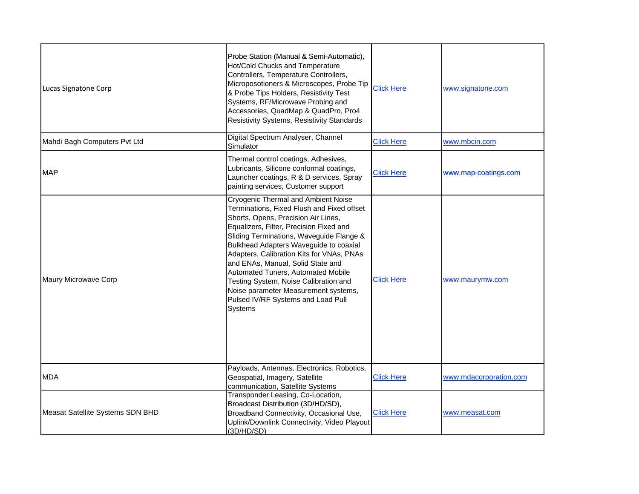| Lucas Signatone Corp             | Probe Station (Manual & Semi-Automatic),<br>Hot/Cold Chucks and Temperature<br>Controllers, Temperature Controllers,<br>Microposotioners & Microscopes, Probe Tip<br>& Probe Tips Holders, Resistivity Test<br>Systems, RF/Microwave Probing and<br>Accessories, QuadMap & QuadPro, Pro4<br><b>Resistivity Systems, Resistivity Standards</b>                                                                                                                                                                              | <b>Click Here</b> | www.signatone.com      |
|----------------------------------|----------------------------------------------------------------------------------------------------------------------------------------------------------------------------------------------------------------------------------------------------------------------------------------------------------------------------------------------------------------------------------------------------------------------------------------------------------------------------------------------------------------------------|-------------------|------------------------|
| Mahdi Bagh Computers Pvt Ltd     | Digital Spectrum Analyser, Channel<br>Simulator                                                                                                                                                                                                                                                                                                                                                                                                                                                                            | <b>Click Here</b> | www.mbcin.com          |
| <b>MAP</b>                       | Thermal control coatings, Adhesives,<br>Lubricants, Silicone conformal coatings,<br>Launcher coatings, R & D services, Spray<br>painting services, Customer support                                                                                                                                                                                                                                                                                                                                                        | <b>Click Here</b> | www.map-coatings.com   |
| Maury Microwave Corp             | Cryogenic Thermal and Ambient Noise<br>Terminations, Fixed Flush and Fixed offset<br>Shorts, Opens, Precision Air Lines,<br>Equalizers, Filter, Precision Fixed and<br>Sliding Terminations, Waveguide Flange &<br>Bulkhead Adapters Waveguide to coaxial<br>Adapters, Calibration Kits for VNAs, PNAs<br>and ENAs, Manual, Solid State and<br>Automated Tuners, Automated Mobile<br>Testing System, Noise Calibration and<br>Noise parameter Measurement systems,<br>Pulsed IV/RF Systems and Load Pull<br><b>Systems</b> | <b>Click Here</b> | www.maurymw.com        |
| <b>MDA</b>                       | Payloads, Antennas, Electronics, Robotics,<br>Geospatial, Imagery, Satellite<br>communication, Satellite Systems                                                                                                                                                                                                                                                                                                                                                                                                           | <b>Click Here</b> | www.mdacorporation.com |
| Measat Satellite Systems SDN BHD | Transponder Leasing, Co-Location,<br>Broadcast Distribution (3D/HD/SD),<br>Broadband Connectivity, Occasional Use,<br>Uplink/Downlink Connectivity, Video Playout<br>(3D/HD/SD)                                                                                                                                                                                                                                                                                                                                            | <b>Click Here</b> | www.measat.com         |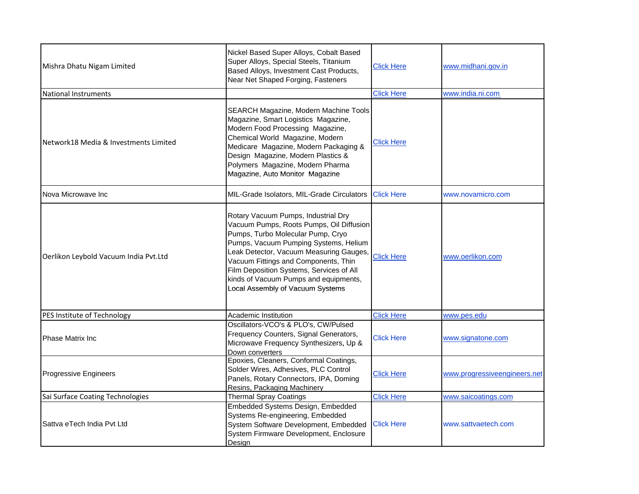| Mishra Dhatu Nigam Limited            | Nickel Based Super Alloys, Cobalt Based<br>Super Alloys, Special Steels, Titanium<br>Based Alloys, Investment Cast Products,<br>Near Net Shaped Forging, Fasteners                                                                                                                                                                                                        | <b>Click Here</b> | www.midhani.gov.in           |
|---------------------------------------|---------------------------------------------------------------------------------------------------------------------------------------------------------------------------------------------------------------------------------------------------------------------------------------------------------------------------------------------------------------------------|-------------------|------------------------------|
| <b>National Instruments</b>           |                                                                                                                                                                                                                                                                                                                                                                           | <b>Click Here</b> | www.india.ni.com             |
| Network18 Media & Investments Limited | SEARCH Magazine, Modern Machine Tools<br>Magazine, Smart Logistics Magazine,<br>Modern Food Processing Magazine,<br>Chemical World Magazine, Modern<br>Medicare Magazine, Modern Packaging &<br>Design Magazine, Modern Plastics &<br>Polymers Magazine, Modern Pharma<br>Magazine, Auto Monitor Magazine                                                                 | <b>Click Here</b> |                              |
| Nova Microwave Inc                    | MIL-Grade Isolators, MIL-Grade Circulators                                                                                                                                                                                                                                                                                                                                | <b>Click Here</b> | www.novamicro.com            |
| Oerlikon Leybold Vacuum India Pvt.Ltd | Rotary Vacuum Pumps, Industrial Dry<br>Vacuum Pumps, Roots Pumps, Oil Diffusion<br>Pumps, Turbo Molecular Pump, Cryo<br>Pumps, Vacuum Pumping Systems, Helium<br>Leak Detector, Vacuum Measuring Gauges,<br>Vacuum Fittings and Components, Thin<br>Film Deposition Systems, Services of All<br>kinds of Vacuum Pumps and equipments,<br>Local Assembly of Vacuum Systems | <b>Click Here</b> | www.oerlikon.com             |
| PES Institute of Technology           | Academic Institution                                                                                                                                                                                                                                                                                                                                                      | <b>Click Here</b> | www.pes.edu                  |
| <b>Phase Matrix Inc</b>               | Oscillators-VCO's & PLO's, CW/Pulsed<br>Frequency Counters, Signal Generators,<br>Microwave Frequency Synthesizers, Up &<br>Down converters                                                                                                                                                                                                                               | <b>Click Here</b> | www.signatone.com            |
| Progressive Engineers                 | Epoxies, Cleaners, Conformal Coatings,<br>Solder Wires, Adhesives, PLC Control<br>Panels, Rotary Connectors, IPA, Doming<br>Resins, Packaging Machinery                                                                                                                                                                                                                   | <b>Click Here</b> | www.progressiveengineers.net |
| Sai Surface Coating Technologies      | <b>Thermal Spray Coatings</b>                                                                                                                                                                                                                                                                                                                                             | <b>Click Here</b> | www.saicoatings.com          |
| Sattva eTech India Pvt Ltd            | Embedded Systems Design, Embedded<br>Systems Re-engineering, Embedded<br>System Software Development, Embedded<br>System Firmware Development, Enclosure<br>Design                                                                                                                                                                                                        | <b>Click Here</b> | www.sattvaetech.com          |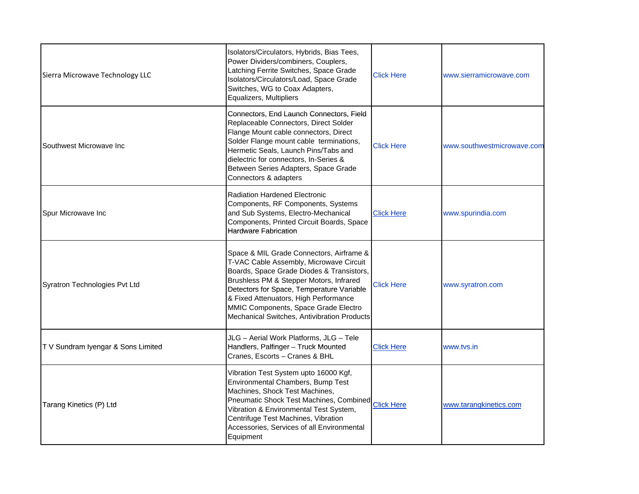| Sierra Microwave Technology LLC   | Isolators/Circulators, Hybrids, Bias Tees,<br>Power Dividers/combiners, Couplers,<br>Latching Ferrite Switches, Space Grade<br>Isolators/Circulators/Load, Space Grade<br>Switches, WG to Coax Adapters,<br>Equalizers, Multipliers                                                                                                                      | <b>Click Here</b> | www.sierramicrowave.com    |
|-----------------------------------|----------------------------------------------------------------------------------------------------------------------------------------------------------------------------------------------------------------------------------------------------------------------------------------------------------------------------------------------------------|-------------------|----------------------------|
| Southwest Microwave Inc           | Connectors, End Launch Connectors, Field<br>Replaceable Connectors, Direct Solder<br>Flange Mount cable connectors, Direct<br>Solder Flange mount cable terminations,<br>Hermetic Seals, Launch Pins/Tabs and<br>dielectric for connectors, In-Series &<br>Between Series Adapters, Space Grade<br>Connectors & adapters                                 | <b>Click Here</b> | www.southwestmicrowave.com |
| Spur Microwave Inc                | <b>Radiation Hardened Electronic</b><br>Components, RF Components, Systems<br>and Sub Systems, Electro-Mechanical<br>Components, Printed Circuit Boards, Space<br><b>Hardware Fabrication</b>                                                                                                                                                            | <b>Click Here</b> | www.spurindia.com          |
| Syratron Technologies Pvt Ltd     | Space & MIL Grade Connectors, Airframe &<br>T-VAC Cable Assembly, Microwave Circuit<br>Boards, Space Grade Diodes & Transistors,<br>Brushless PM & Stepper Motors, Infrared<br>Detectors for Space, Temperature Variable<br>& Fixed Attenuators, High Performance<br>MMIC Components, Space Grade Electro<br>Mechanical Switches, Antivibration Products | <b>Click Here</b> | www.syratron.com           |
| TV Sundram Iyengar & Sons Limited | JLG - Aerial Work Platforms, JLG - Tele<br>Handlers, Palfinger - Truck Mounted<br>Cranes, Escorts - Cranes & BHL                                                                                                                                                                                                                                         | <b>Click Here</b> | www.tvs.in                 |
| Tarang Kinetics (P) Ltd           | Vibration Test System upto 16000 Kgf,<br>Environmental Chambers, Bump Test<br>Machines, Shock Test Machines,<br>Pheumatic Shock Test Machines, Combined Click Here<br>Vibration & Environmental Test System,<br>Centrifuge Test Machines, Vibration<br>Accessories, Services of all Environmental<br>Equipment                                           |                   | www.tarangkinetics.com     |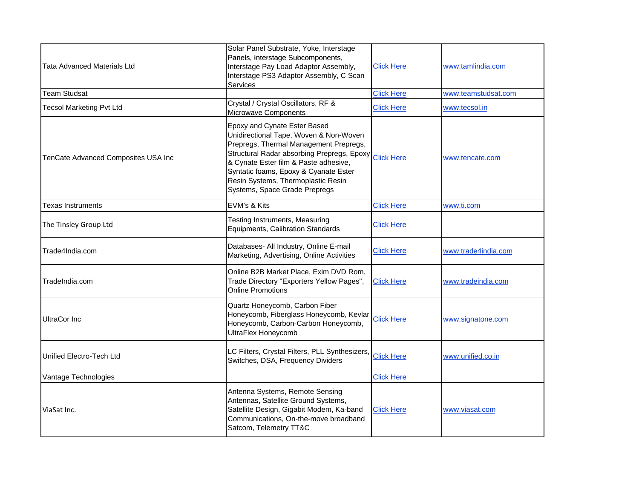| <b>Tata Advanced Materials Ltd</b>  | Solar Panel Substrate, Yoke, Interstage<br>Panels, Interstage Subcomponents,<br>Interstage Pay Load Adaptor Assembly,<br>Interstage PS3 Adaptor Assembly, C Scan<br>Services                                                                                                                                                       | <b>Click Here</b> | www.tamlindia.com   |
|-------------------------------------|------------------------------------------------------------------------------------------------------------------------------------------------------------------------------------------------------------------------------------------------------------------------------------------------------------------------------------|-------------------|---------------------|
| <b>Team Studsat</b>                 |                                                                                                                                                                                                                                                                                                                                    | <b>Click Here</b> | www.teamstudsat.com |
| <b>Tecsol Marketing Pvt Ltd</b>     | Crystal / Crystal Oscillators, RF &<br>Microwave Components                                                                                                                                                                                                                                                                        | <b>Click Here</b> | www.tecsol.in       |
| TenCate Advanced Composites USA Inc | Epoxy and Cynate Ester Based<br>Unidirectional Tape, Woven & Non-Woven<br>Prepregs, Thermal Management Prepregs,<br>Structural Radar absorbing Prepregs, Epoxy Click Here<br>& Cynate Ester film & Paste adhesive,<br>Syntatic foams, Epoxy & Cyanate Ester<br>Resin Systems, Thermoplastic Resin<br>Systems, Space Grade Prepregs |                   | www.tencate.com     |
| Texas Instruments                   | EVM's & Kits                                                                                                                                                                                                                                                                                                                       | <b>Click Here</b> | www.ti.com          |
| The Tinsley Group Ltd               | Testing Instruments, Measuring<br>Equipments, Calibration Standards                                                                                                                                                                                                                                                                | <b>Click Here</b> |                     |
| Trade4India.com                     | Databases- All Industry, Online E-mail<br>Marketing, Advertising, Online Activities                                                                                                                                                                                                                                                | <b>Click Here</b> | www.trade4india.com |
| TradeIndia.com                      | Online B2B Market Place, Exim DVD Rom,<br>Trade Directory "Exporters Yellow Pages",<br><b>Online Promotions</b>                                                                                                                                                                                                                    | <b>Click Here</b> | www.tradeindia.com  |
| <b>UltraCor Inc</b>                 | Quartz Honeycomb, Carbon Fiber<br>Honeycomb, Fiberglass Honeycomb, Kevlar<br>Honeycomb, Carbon-Carbon Honeycomb,<br>UltraFlex Honeycomb                                                                                                                                                                                            | <b>Click Here</b> | www.signatone.com   |
| Unified Electro-Tech Ltd            | LC Filters, Crystal Filters, PLL Synthesizers,<br>Switches, DSA, Frequency Dividers                                                                                                                                                                                                                                                | <b>Click Here</b> | www.unified.co.in   |
| Vantage Technologies                |                                                                                                                                                                                                                                                                                                                                    | <b>Click Here</b> |                     |
| ViaSat Inc.                         | Antenna Systems, Remote Sensing<br>Antennas, Satellite Ground Systems,<br>Satellite Design, Gigabit Modem, Ka-band<br>Communications, On-the-move broadband<br>Satcom, Telemetry TT&C                                                                                                                                              | <b>Click Here</b> | www.viasat.com      |